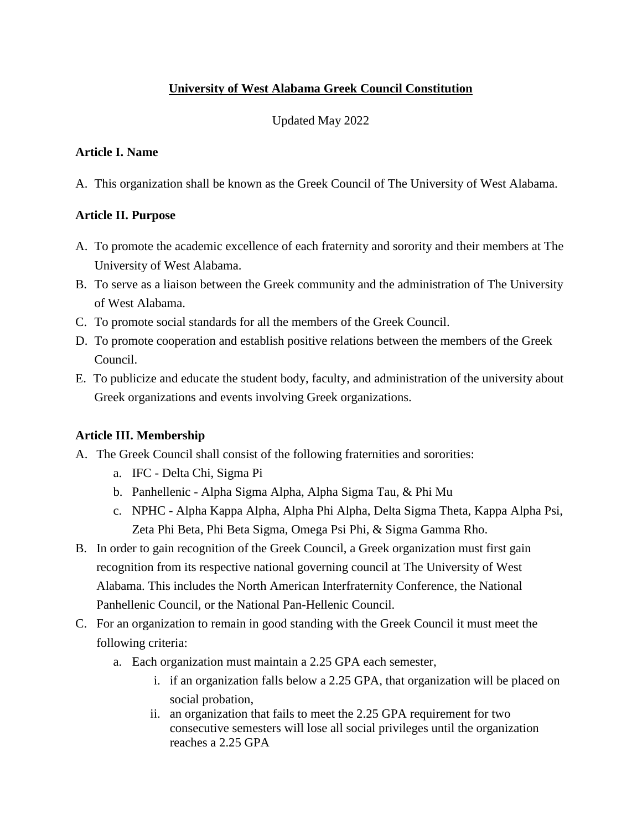## **University of West Alabama Greek Council Constitution**

Updated May 2022

## **Article I. Name**

A. This organization shall be known as the Greek Council of The University of West Alabama.

## **Article II. Purpose**

- A. To promote the academic excellence of each fraternity and sorority and their members at The University of West Alabama.
- B. To serve as a liaison between the Greek community and the administration of The University of West Alabama.
- C. To promote social standards for all the members of the Greek Council.
- D. To promote cooperation and establish positive relations between the members of the Greek Council.
- E. To publicize and educate the student body, faculty, and administration of the university about Greek organizations and events involving Greek organizations.

# **Article III. Membership**

- A. The Greek Council shall consist of the following fraternities and sororities:
	- a. IFC Delta Chi, Sigma Pi
	- b. Panhellenic Alpha Sigma Alpha, Alpha Sigma Tau, & Phi Mu
	- c. NPHC Alpha Kappa Alpha, Alpha Phi Alpha, Delta Sigma Theta, Kappa Alpha Psi, Zeta Phi Beta, Phi Beta Sigma, Omega Psi Phi, & Sigma Gamma Rho.
- B. In order to gain recognition of the Greek Council, a Greek organization must first gain recognition from its respective national governing council at The University of West Alabama. This includes the North American Interfraternity Conference, the National Panhellenic Council, or the National Pan-Hellenic Council.
- C. For an organization to remain in good standing with the Greek Council it must meet the following criteria:
	- a. Each organization must maintain a 2.25 GPA each semester,
		- i. if an organization falls below a 2.25 GPA, that organization will be placed on social probation,
		- ii. an organization that fails to meet the 2.25 GPA requirement for two consecutive semesters will lose all social privileges until the organization reaches a 2.25 GPA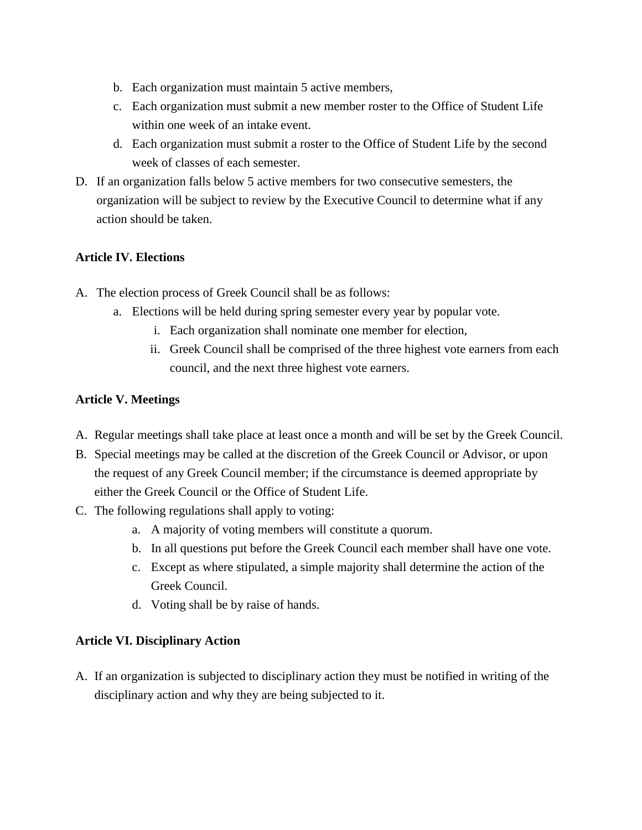- b. Each organization must maintain 5 active members,
- c. Each organization must submit a new member roster to the Office of Student Life within one week of an intake event.
- d. Each organization must submit a roster to the Office of Student Life by the second week of classes of each semester.
- D. If an organization falls below 5 active members for two consecutive semesters, the organization will be subject to review by the Executive Council to determine what if any action should be taken.

## **Article IV. Elections**

- A. The election process of Greek Council shall be as follows:
	- a. Elections will be held during spring semester every year by popular vote.
		- i. Each organization shall nominate one member for election,
		- ii. Greek Council shall be comprised of the three highest vote earners from each council, and the next three highest vote earners.

## **Article V. Meetings**

- A. Regular meetings shall take place at least once a month and will be set by the Greek Council.
- B. Special meetings may be called at the discretion of the Greek Council or Advisor, or upon the request of any Greek Council member; if the circumstance is deemed appropriate by either the Greek Council or the Office of Student Life.
- C. The following regulations shall apply to voting:
	- a. A majority of voting members will constitute a quorum.
	- b. In all questions put before the Greek Council each member shall have one vote.
	- c. Except as where stipulated, a simple majority shall determine the action of the Greek Council.
	- d. Voting shall be by raise of hands.

## **Article VI. Disciplinary Action**

A. If an organization is subjected to disciplinary action they must be notified in writing of the disciplinary action and why they are being subjected to it.